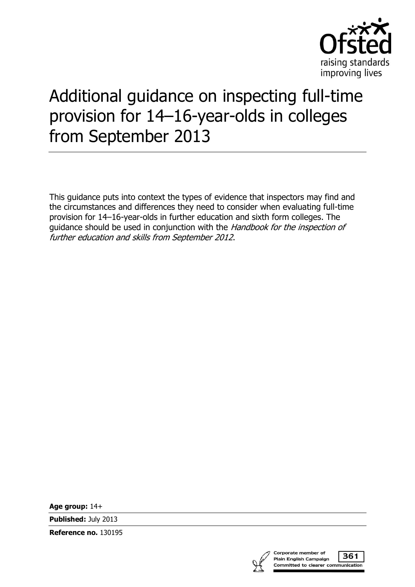

# Additional guidance on inspecting full-time provision for 14–16-year-olds in colleges from September 2013

This guidance puts into context the types of evidence that inspectors may find and the circumstances and differences they need to consider when evaluating full-time provision for 14–16-year-olds in further education and sixth form colleges. The guidance should be used in conjunction with the *Handbook for the inspection of* further education and skills from September 2012.

**Age group:** 14+

**Published:** July 2013

**Reference no.** 130195



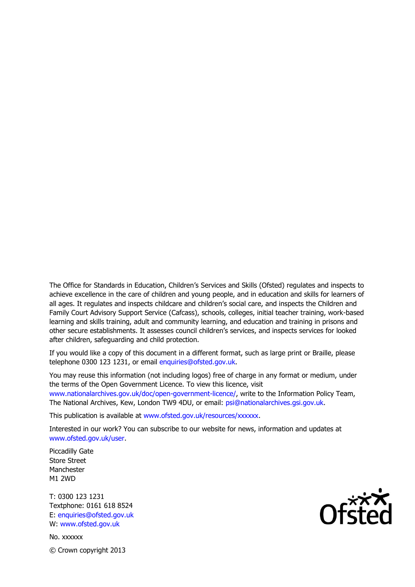The Office for Standards in Education, Children's Services and Skills (Ofsted) regulates and inspects to achieve excellence in the care of children and young people, and in education and skills for learners of all ages. It regulates and inspects childcare and children's social care, and inspects the Children and Family Court Advisory Support Service (Cafcass), schools, colleges, initial teacher training, work-based learning and skills training, adult and community learning, and education and training in prisons and other secure establishments. It assesses council children's services, and inspects services for looked after children, safeguarding and child protection.

If you would like a copy of this document in a different format, such as large print or Braille, please telephone 0300 123 1231, or email enquiries@ofsted.gov.uk.

You may reuse this information (not including logos) free of charge in any format or medium, under the terms of the Open Government Licence. To view this licence, visit www.nationalarchives.gov.uk/doc/open-government-licence/, write to the Information Policy Team, The National Archives, Kew, London TW9 4DU, or email: psi@nationalarchives.gsi.gov.uk.

This publication is available at www.ofsted.gov.uk/resources/xxxxxx.

Interested in our work? You can subscribe to our website for news, information and updates at www.ofsted.gov.uk/user.

Piccadilly Gate Store Street Manchester M1 2WD

T: 0300 123 1231 Textphone: 0161 618 8524 E: enquiries@ofsted.gov.uk W: www.ofsted.gov.uk

No. xxxxxx © Crown copyright 2013

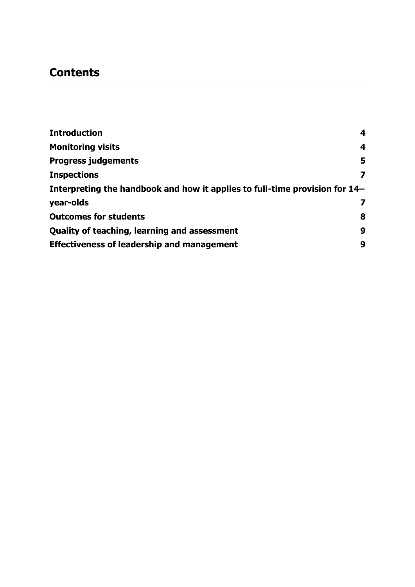## **Contents**

| <b>Introduction</b>                                                         | 4 |
|-----------------------------------------------------------------------------|---|
| <b>Monitoring visits</b>                                                    | 4 |
| <b>Progress judgements</b>                                                  | 5 |
| <b>Inspections</b>                                                          | 7 |
| Interpreting the handbook and how it applies to full-time provision for 14- |   |
| year-olds                                                                   | 7 |
| <b>Outcomes for students</b>                                                | 8 |
| <b>Quality of teaching, learning and assessment</b>                         | 9 |
| <b>Effectiveness of leadership and management</b>                           | 9 |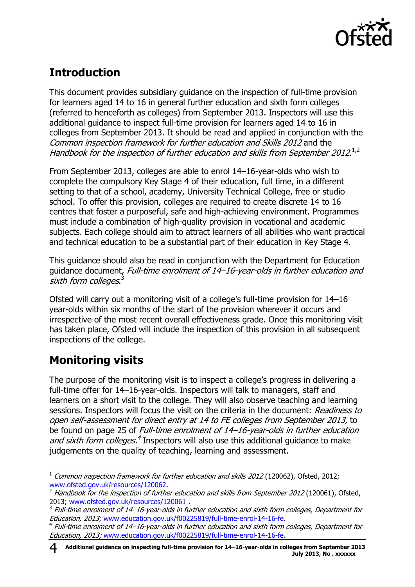

# <span id="page-3-0"></span>**Introduction**

This document provides subsidiary guidance on the inspection of full-time provision for learners aged 14 to 16 in general further education and sixth form colleges (referred to henceforth as colleges) from September 2013. Inspectors will use this additional guidance to inspect full-time provision for learners aged 14 to 16 in colleges from September 2013. It should be read and applied in conjunction with the Common inspection framework for further education and Skills 2012 and the Handbook for the inspection of further education and skills from September 2012. $^{1,2}$ 

From September 2013, colleges are able to enrol 14–16-year-olds who wish to complete the compulsory Key Stage 4 of their education, full time, in a different setting to that of a school, academy, University Technical College, free or studio school. To offer this provision, colleges are required to create discrete 14 to 16 centres that foster a purposeful, safe and high-achieving environment. Programmes must include a combination of high-quality provision in vocational and academic subjects. Each college should aim to attract learners of all abilities who want practical and technical education to be a substantial part of their education in Key Stage 4.

This guidance should also be read in conjunction with the Department for Education guidance document, Full-time enrolment of 14–16-year-olds in further education and sixth form colleges.<sup>3</sup>

Ofsted will carry out a monitoring visit of a college's full-time provision for 14–16 year-olds within six months of the start of the provision wherever it occurs and irrespective of the most recent overall effectiveness grade. Once this monitoring visit has taken place, Ofsted will include the inspection of this provision in all subsequent inspections of the college.

# <span id="page-3-1"></span>**Monitoring visits**

 $\overline{a}$ 

The purpose of the monitoring visit is to inspect a college's progress in delivering a full-time offer for 14–16-year-olds. Inspectors will talk to managers, staff and learners on a short visit to the college. They will also observe teaching and learning sessions. Inspectors will focus the visit on the criteria in the document: Readiness to open self-assessment for direct entry at 14 to FE colleges from September 2013, to be found on page 25 of Full-time enrolment of 14–16-year-olds in further education and sixth form colleges.<sup>4</sup> Inspectors will also use this additional guidance to make judgements on the quality of teaching, learning and assessment.

 $1$  Common inspection framework for further education and skills 2012 (120062), Ofsted, 2012; [www.ofsted.gov.uk/resources/120062.](http://www.ofsted.gov.uk/resources/120062)

 $2$  Handbook for the inspection of further education and skills from September 2012 (120061), Ofsted, 2013; [www.ofsted.gov.uk/resources/120061](http://www.ofsted.gov.uk/resources/120061) .

 $^3$  Full-time enrolment of 14–16-year-olds in further education and sixth form colleges, Department for Education, 2013; [www.education.gov.uk/f00225819/full-time-enrol-14-16-fe.](http://www.education.gov.uk/f00225819/full-time-enrol-14-16-fe)

<sup>4</sup> Full-time enrolment of 14–16-year-olds in further education and sixth form colleges, Department for Education, 2013; [www.education.gov.uk/f00225819/full-time-enrol-14-16-fe.](http://www.education.gov.uk/f00225819/full-time-enrol-14-16-fe)

**Additional guidance on inspecting full-time provision for 14–16-year-olds in colleges from September 2013** 4 **July 2013, No . xxxxxx**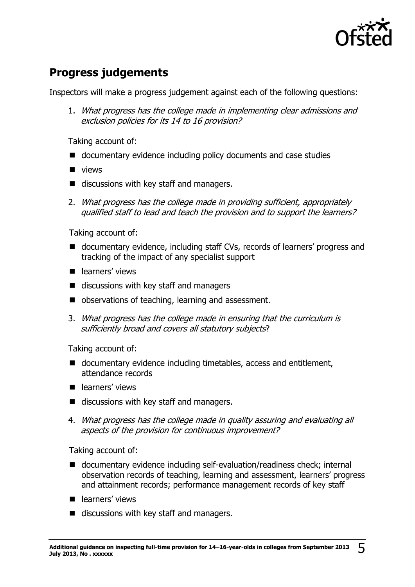

# <span id="page-4-0"></span>**Progress judgements**

Inspectors will make a progress judgement against each of the following questions:

1. What progress has the college made in implementing clear admissions and exclusion policies for its 14 to 16 provision?

Taking account of:

- documentary evidence including policy documents and case studies
- **u** views
- discussions with key staff and managers.
- 2. What progress has the college made in providing sufficient, appropriately qualified staff to lead and teach the provision and to support the learners?

Taking account of:

- documentary evidence, including staff CVs, records of learners' progress and tracking of the impact of any specialist support
- earners' views
- discussions with key staff and managers
- observations of teaching, learning and assessment.
- 3. What progress has the college made in ensuring that the curriculum is sufficiently broad and covers all statutory subjects?

Taking account of:

- documentary evidence including timetables, access and entitlement, attendance records
- **P** learners' views
- discussions with key staff and managers.
- 4. What progress has the college made in quality assuring and evaluating all aspects of the provision for continuous improvement?

Taking account of:

- documentary evidence including self-evaluation/readiness check; internal observation records of teaching, learning and assessment, learners' progress and attainment records; performance management records of key staff
- **P** learners' views
- discussions with key staff and managers.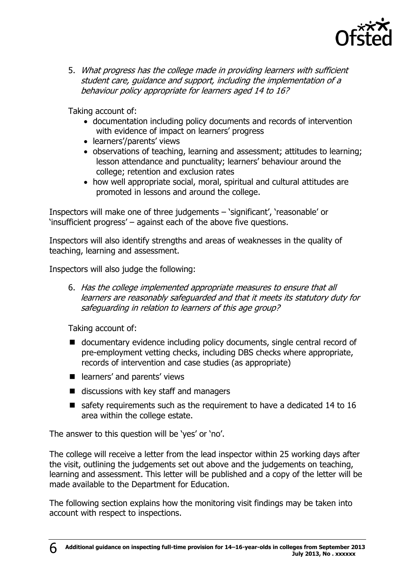

5. What progress has the college made in providing learners with sufficient student care, guidance and support, including the implementation of a behaviour policy appropriate for learners aged 14 to 16?

Taking account of:

- documentation including policy documents and records of intervention with evidence of impact on learners' progress
- learners'/parents' views
- observations of teaching, learning and assessment; attitudes to learning; lesson attendance and punctuality; learners' behaviour around the college; retention and exclusion rates
- how well appropriate social, moral, spiritual and cultural attitudes are promoted in lessons and around the college.

Inspectors will make one of three judgements – 'significant', 'reasonable' or 'insufficient progress' – against each of the above five questions.

Inspectors will also identify strengths and areas of weaknesses in the quality of teaching, learning and assessment.

Inspectors will also judge the following:

6. Has the college implemented appropriate measures to ensure that all learners are reasonably safeguarded and that it meets its statutory duty for safeguarding in relation to learners of this age group?

Taking account of:

- documentary evidence including policy documents, single central record of pre-employment vetting checks, including DBS checks where appropriate, records of intervention and case studies (as appropriate)
- e learners' and parents' views
- $\blacksquare$  discussions with key staff and managers
- $\blacksquare$  safety requirements such as the requirement to have a dedicated 14 to 16 area within the college estate.

The answer to this question will be 'yes' or 'no'.

The college will receive a letter from the lead inspector within 25 working days after the visit, outlining the judgements set out above and the judgements on teaching, learning and assessment. This letter will be published and a copy of the letter will be made available to the Department for Education.

The following section explains how the monitoring visit findings may be taken into account with respect to inspections.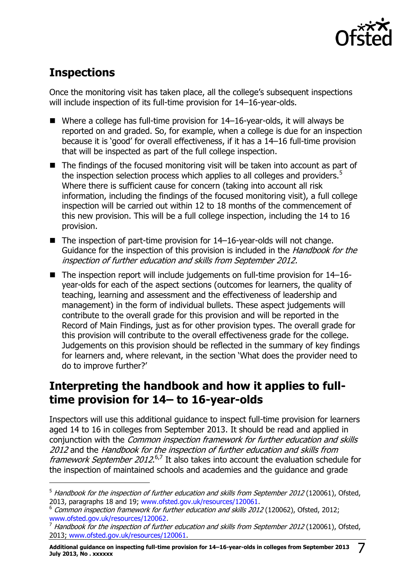

## <span id="page-6-0"></span>**Inspections**

j

Once the monitoring visit has taken place, all the college's subsequent inspections will include inspection of its full-time provision for 14–16-year-olds.

- Where a college has full-time provision for 14–16-year-olds, it will always be reported on and graded. So, for example, when a college is due for an inspection because it is 'good' for overall effectiveness, if it has a 14–16 full-time provision that will be inspected as part of the full college inspection.
- The findings of the focused monitoring visit will be taken into account as part of the inspection selection process which applies to all colleges and providers.<sup>5</sup> Where there is sufficient cause for concern (taking into account all risk information, including the findings of the focused monitoring visit), a full college inspection will be carried out within 12 to 18 months of the commencement of this new provision. This will be a full college inspection, including the 14 to 16 provision.
- $\blacksquare$  The inspection of part-time provision for 14–16-year-olds will not change. Guidance for the inspection of this provision is included in the *Handbook for the* inspection of further education and skills from September 2012.
- $\blacksquare$  The inspection report will include judgements on full-time provision for 14–16year-olds for each of the aspect sections (outcomes for learners, the quality of teaching, learning and assessment and the effectiveness of leadership and management) in the form of individual bullets. These aspect judgements will contribute to the overall grade for this provision and will be reported in the Record of Main Findings, just as for other provision types. The overall grade for this provision will contribute to the overall effectiveness grade for the college. Judgements on this provision should be reflected in the summary of key findings for learners and, where relevant, in the section 'What does the provider need to do to improve further?'

#### <span id="page-6-1"></span>**Interpreting the handbook and how it applies to fulltime provision for 14– to 16-year-olds**

Inspectors will use this additional guidance to inspect full-time provision for learners aged 14 to 16 in colleges from September 2013. It should be read and applied in conjunction with the Common inspection framework for further education and skills 2012 and the Handbook for the inspection of further education and skills from framework September 2012.<sup>6,7</sup> It also takes into account the evaluation schedule for the inspection of maintained schools and academies and the guidance and grade

 $5$  Handbook for the inspection of further education and skills from September 2012 (120061), Ofsted, 2013, paragraphs 18 and 19; [www.ofsted.gov.uk/resources/120061.](http://www.ofsted.gov.uk/resources/120061)

<sup>&</sup>lt;sup>6</sup> Common inspection framework for further education and skills 2012 (120062), Ofsted, 2012; [www.ofsted.gov.uk/resources/120062](http://www.ofsted.gov.uk/resources/120062).

 $^7$  Handbook for the inspection of further education and skills from September 2012 (120061), Ofsted, 2013; [www.ofsted.gov.uk/resources/120061.](http://www.ofsted.gov.uk/resources/120061)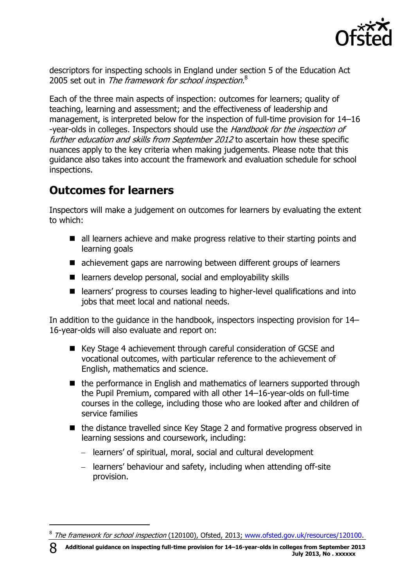

descriptors for inspecting schools in England under section 5 of the Education Act 2005 set out in The framework for school inspection.<sup>8</sup>

Each of the three main aspects of inspection: outcomes for learners; quality of teaching, learning and assessment; and the effectiveness of leadership and management, is interpreted below for the inspection of full-time provision for 14–16 -year-olds in colleges. Inspectors should use the Handbook for the inspection of further education and skills from September 2012 to ascertain how these specific nuances apply to the key criteria when making judgements. Please note that this guidance also takes into account the framework and evaluation schedule for school inspections.

#### <span id="page-7-0"></span>**Outcomes for learners**

j

Inspectors will make a judgement on outcomes for learners by evaluating the extent to which:

- all learners achieve and make progress relative to their starting points and learning goals
- achievement gaps are narrowing between different groups of learners
- $\blacksquare$  learners develop personal, social and employability skills
- learners' progress to courses leading to higher-level qualifications and into jobs that meet local and national needs.

In addition to the guidance in the handbook, inspectors inspecting provision for 14– 16-year-olds will also evaluate and report on:

- Key Stage 4 achievement through careful consideration of GCSE and vocational outcomes, with particular reference to the achievement of English, mathematics and science.
- the performance in English and mathematics of learners supported through the Pupil Premium, compared with all other 14–16-year-olds on full-time courses in the college, including those who are looked after and children of service families
- the distance travelled since Key Stage 2 and formative progress observed in learning sessions and coursework, including:
	- learners' of spiritual, moral, social and cultural development
	- learners' behaviour and safety, including when attending off-site provision.

<sup>&</sup>lt;sup>8</sup> The framework for school inspection (120100), Ofsted, 2013; [www.ofsted.gov.uk/resources/120100.](http://www.ofsted.gov.uk/resources/120100)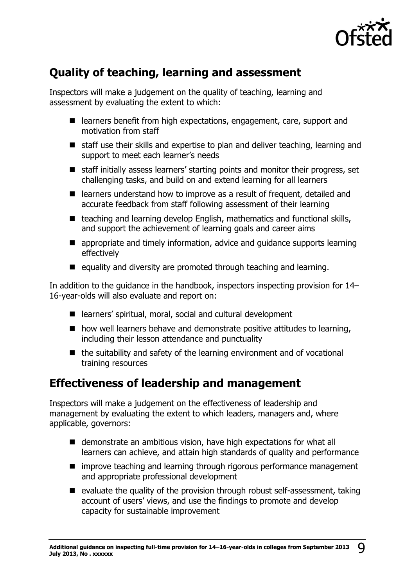

### <span id="page-8-0"></span>**Quality of teaching, learning and assessment**

Inspectors will make a judgement on the quality of teaching, learning and assessment by evaluating the extent to which:

- learners benefit from high expectations, engagement, care, support and motivation from staff
- staff use their skills and expertise to plan and deliver teaching, learning and support to meet each learner's needs
- staff initially assess learners' starting points and monitor their progress, set challenging tasks, and build on and extend learning for all learners
- learners understand how to improve as a result of frequent, detailed and accurate feedback from staff following assessment of their learning
- $\blacksquare$  teaching and learning develop English, mathematics and functional skills, and support the achievement of learning goals and career aims
- appropriate and timely information, advice and guidance supports learning effectively
- $\blacksquare$  equality and diversity are promoted through teaching and learning.

In addition to the guidance in the handbook, inspectors inspecting provision for 14– 16-year-olds will also evaluate and report on:

- learners' spiritual, moral, social and cultural development
- $\blacksquare$  how well learners behave and demonstrate positive attitudes to learning, including their lesson attendance and punctuality
- $\blacksquare$  the suitability and safety of the learning environment and of vocational training resources

#### <span id="page-8-1"></span>**Effectiveness of leadership and management**

Inspectors will make a judgement on the effectiveness of leadership and management by evaluating the extent to which leaders, managers and, where applicable, governors:

- demonstrate an ambitious vision, have high expectations for what all learners can achieve, and attain high standards of quality and performance
- $\blacksquare$  improve teaching and learning through rigorous performance management and appropriate professional development
- $\blacksquare$  evaluate the quality of the provision through robust self-assessment, taking account of users' views, and use the findings to promote and develop capacity for sustainable improvement